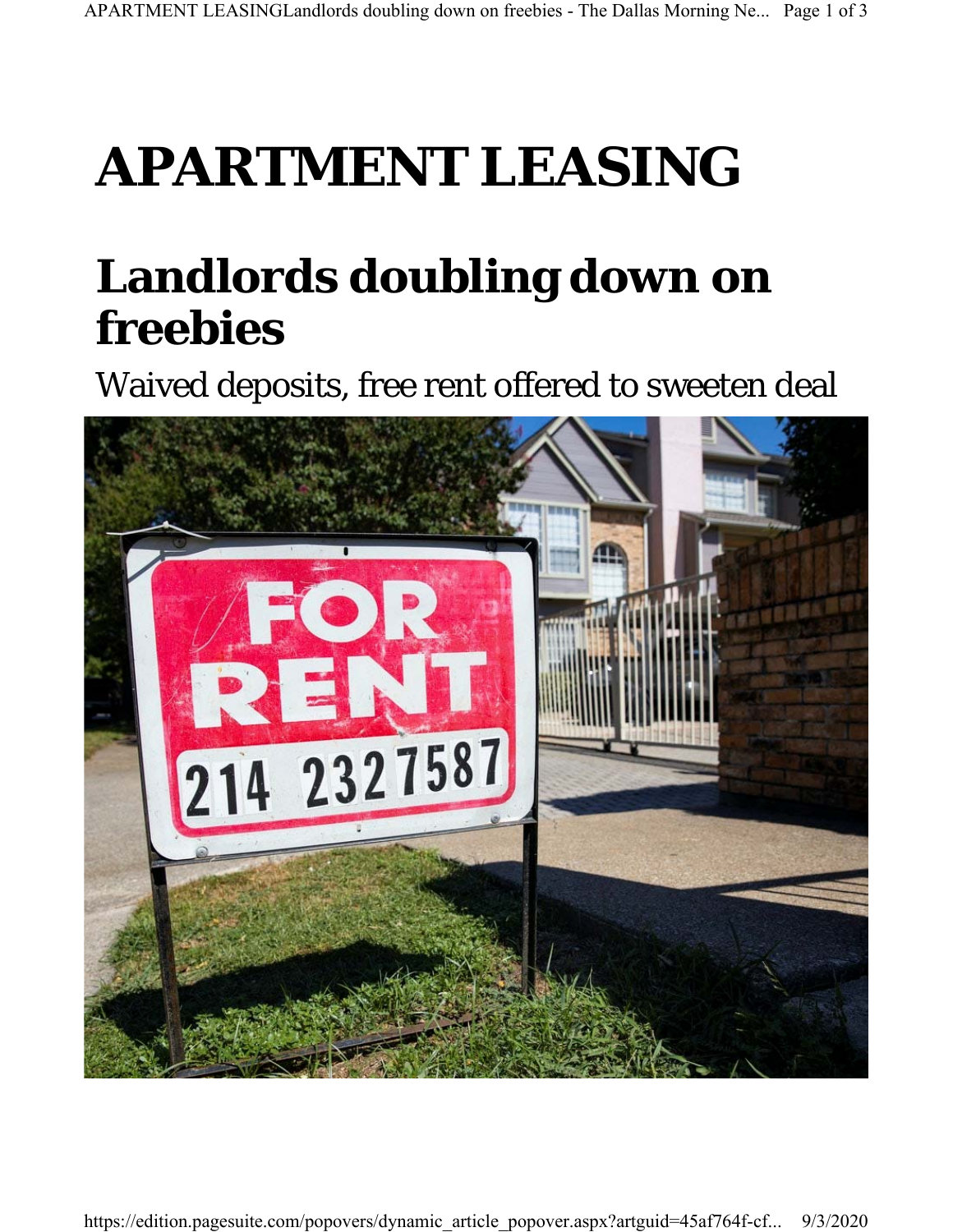## **APARTMENT LEASING**

## **Landlords doubling down on freebies**

Waived deposits, free rent offered to sweeten deal

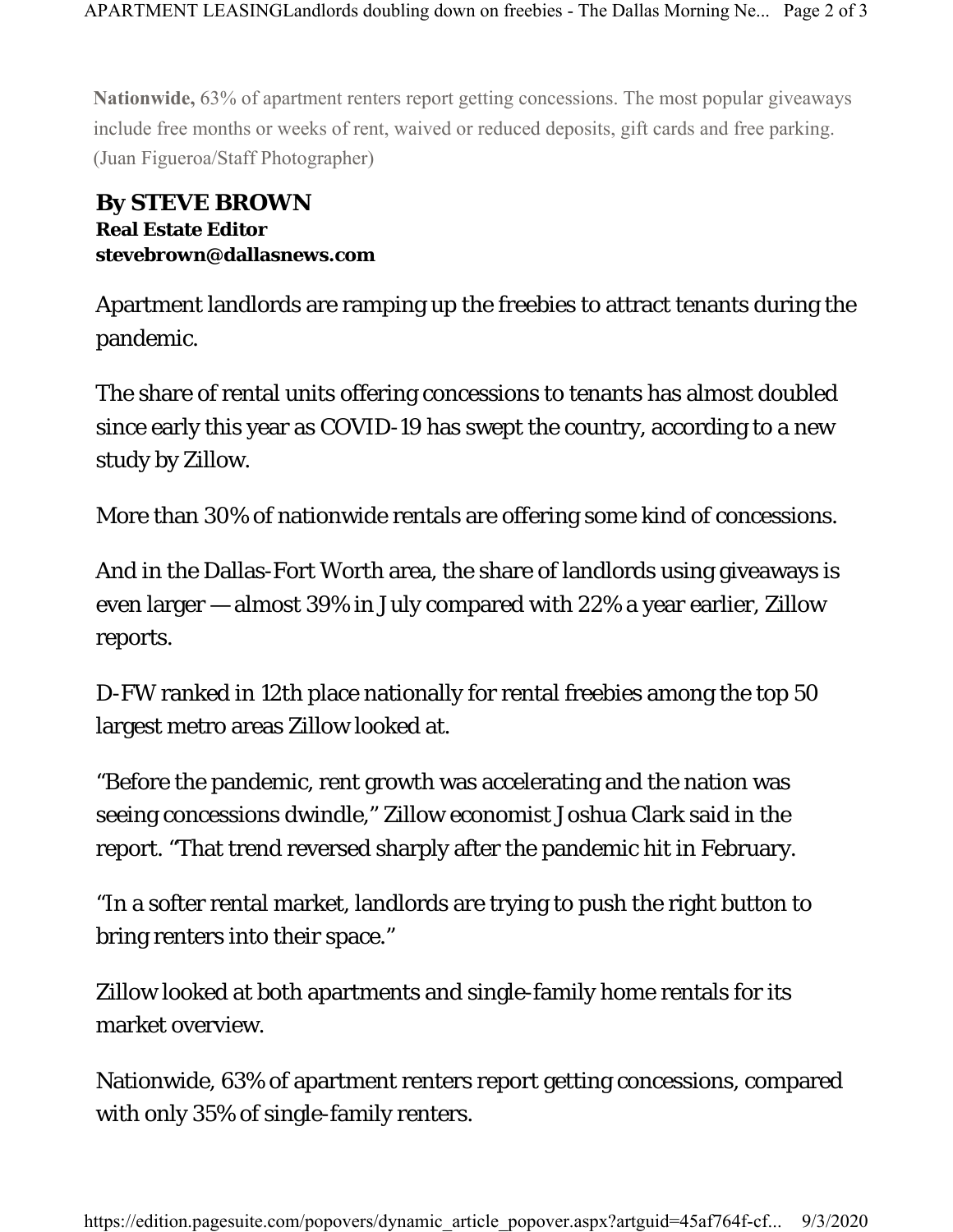**Nationwide,** 63% of apartment renters report getting concessions. The most popular giveaways include free months or weeks of rent, waived or reduced deposits, gift cards and free parking. (Juan Figueroa/Staff Photographer)

## **By STEVE BROWN Real Estate Editor stevebrown@dallasnews.com**

Apartment landlords are ramping up the freebies to attract tenants during the pandemic.

The share of rental units offering concessions to tenants has almost doubled since early this year as COVID-19 has swept the country, according to a new study by Zillow.

More than 30% of nationwide rentals are offering some kind of concessions.

And in the Dallas-Fort Worth area, the share of landlords using giveaways is even larger — almost 39% in July compared with 22% a year earlier, Zillow reports.

D-FW ranked in 12th place nationally for rental freebies among the top 50 largest metro areas Zillow looked at.

"Before the pandemic, rent growth was accelerating and the nation was seeing concessions dwindle," Zillow economist Joshua Clark said in the report. "That trend reversed sharply after the pandemic hit in February.

"In a softer rental market, landlords are trying to push the right button to bring renters into their space."

Zillow looked at both apartments and single-family home rentals for its market overview.

Nationwide, 63% of apartment renters report getting concessions, compared with only 35% of single-family renters.